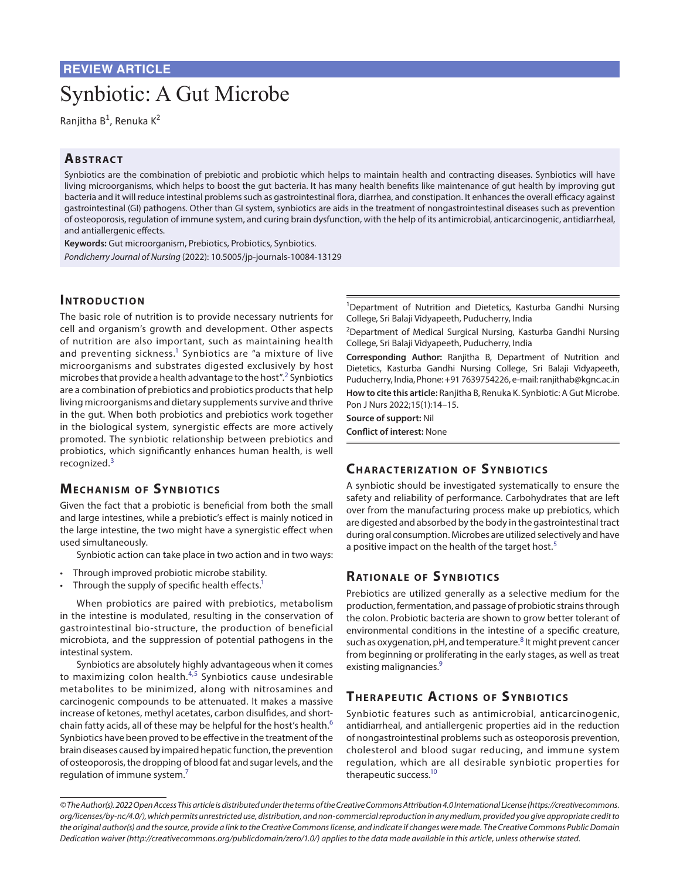# Synbiotic: A Gut Microbe

Ranjitha B<sup>1</sup>, Renuka K<sup>2</sup>

## **ABSTRACT**

Synbiotics are the combination of prebiotic and probiotic which helps to maintain health and contracting diseases. Synbiotics will have living microorganisms, which helps to boost the gut bacteria. It has many health benefits like maintenance of gut health by improving gut bacteria and it will reduce intestinal problems such as gastrointestinal flora, diarrhea, and constipation. It enhances the overall efficacy against gastrointestinal (GI) pathogens. Other than GI system, synbiotics are aids in the treatment of nongastrointestinal diseases such as prevention of osteoporosis, regulation of immune system, and curing brain dysfunction, with the help of its antimicrobial, anticarcinogenic, antidiarrheal, and antiallergenic effects.

**Keywords:** Gut microorganism, Prebiotics, Probiotics, Synbiotics. *Pondicherry Journal of Nursing* (2022): 10.5005/jp-journals-10084-13129

## **INTRODUCTION**

The basic role of nutrition is to provide necessary nutrients for cell and organism's growth and development. Other aspects of nutrition are also important, such as maintaining health and preventing sickness.<sup>[1](#page-1-0)</sup> Synbiotics are "a mixture of live microorganisms and substrates digested exclusively by host microbes that provide a health advantage to the host".<sup>[2](#page-1-1)</sup> Synbiotics are a combination of prebiotics and probiotics products that help living microorganisms and dietary supplements survive and thrive in the gut. When both probiotics and prebiotics work together in the biological system, synergistic effects are more actively promoted. The synbiotic relationship between prebiotics and probiotics, which significantly enhances human health, is well recognized.<sup>[3](#page-1-2)</sup>

# **MECHANISM OF SYNBIOTICS**

Given the fact that a probiotic is beneficial from both the small and large intestines, while a prebiotic's effect is mainly noticed in the large intestine, the two might have a synergistic effect when used simultaneously.

Synbiotic action can take place in two action and in two ways:

- Through improved probiotic microbe stability.
- Through the supply of specific health effects.<sup>1</sup>

When probiotics are paired with prebiotics, metabolism in the intestine is modulated, resulting in the conservation of gastrointestinal bio-structure, the production of beneficial microbiota, and the suppression of potential pathogens in the intestinal system.

Synbiotics are absolutely highly advantageous when it comes to maximizing colon health.<sup>[4](#page-1-3),[5](#page-1-4)</sup> Synbiotics cause undesirable metabolites to be minimized, along with nitrosamines and carcinogenic compounds to be attenuated. It makes a massive increase of ketones, methyl acetates, carbon disulfides, and short-chain fatty acids, all of these may be helpful for the host's health.<sup>[6](#page-1-5)</sup> Synbiotics have been proved to be effective in the treatment of the brain diseases caused by impaired hepatic function, the prevention of osteoporosis, the dropping of blood fat and sugar levels, and the regulation of immune system.[7](#page-1-6)

<sup>1</sup>Department of Nutrition and Dietetics, Kasturba Gandhi Nursing College, Sri Balaji Vidyapeeth, Puducherry, India

<sup>2</sup>Department of Medical Surgical Nursing, Kasturba Gandhi Nursing College, Sri Balaji Vidyapeeth, Puducherry, India

**Corresponding Author:** Ranjitha B, Department of Nutrition and Dietetics, Kasturba Gandhi Nursing College, Sri Balaji Vidyapeeth, Puducherry, India, Phone: +91 7639754226, e-mail: ranjithab@kgnc.ac.in

**How to cite this article:** Ranjitha B, Renuka K. Synbiotic: A Gut Microbe. Pon J Nurs 2022;15(1):14–15.

**Source of support:** Nil

**Conflict of interest:** None

# **CHARACTERIZATION OF SYNBIOTICS**

A synbiotic should be investigated systematically to ensure the safety and reliability of performance. Carbohydrates that are left over from the manufacturing process make up prebiotics, which are digested and absorbed by the body in the gastrointestinal tract during oral consumption. Microbes are utilized selectively and have a positive impact on the health of the target host.<sup>[5](#page-1-4)</sup>

# **RATIONALE OF SYNBIOTICS**

Prebiotics are utilized generally as a selective medium for the production, fermentation, and passage of probiotic strains through the colon. Probiotic bacteria are shown to grow better tolerant of environmental conditions in the intestine of a specific creature, such as oxygenation, pH, and temperature.<sup>[8](#page-1-7)</sup> It might prevent cancer from beginning or proliferating in the early stages, as well as treat existing malignancies.<sup>9</sup>

# **THERAPEUTIC ACTIONS OF SYNBIOTICS**

Synbiotic features such as antimicrobial, anticarcinogenic, antidiarrheal, and antiallergenic properties aid in the reduction of nongastrointestinal problems such as osteoporosis prevention, cholesterol and blood sugar reducing, and immune system regulation, which are all desirable synbiotic properties for therapeutic success.<sup>10</sup>

*<sup>©</sup> The Author(s). 2022 Open Access This article is distributed under the terms of the Creative Commons Attribution 4.0 International License [\(https://creativecommons.](https://creativecommons. org/licenses/by-nc/4.0/https://creativecommons. org/licenses/by-nc/4.0/)  [org/licenses/by-nc/4.0/](https://creativecommons. org/licenses/by-nc/4.0/https://creativecommons. org/licenses/by-nc/4.0/)), which permits unrestricted use, distribution, and non-commercial reproduction in any medium, provided you give appropriate credit to the original author(s) and the source, provide a link to the Creative Commons license, and indicate if changes were made. The Creative Commons Public Domain Dedication waiver [\(http://creativecommons.org/publicdomain/zero/1.0/\)](http://creativecommons.org/publicdomain/zero/1.0/http://creativecommons.org/publicdomain/zero/1.0/http://creativecommons.org/publicdomain/zero/1.0/) applies to the data made available in this article, unless otherwise stated.*